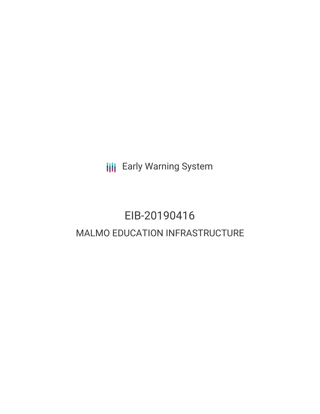**III** Early Warning System

# EIB-20190416 MALMO EDUCATION INFRASTRUCTURE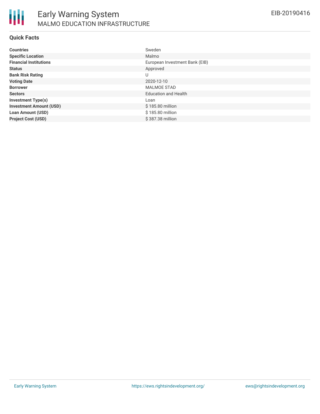

#### **Quick Facts**

| <b>Countries</b>               | Sweden                         |
|--------------------------------|--------------------------------|
| <b>Specific Location</b>       | Malmo                          |
| <b>Financial Institutions</b>  | European Investment Bank (EIB) |
| <b>Status</b>                  | Approved                       |
| <b>Bank Risk Rating</b>        | U                              |
| <b>Voting Date</b>             | 2020-12-10                     |
| <b>Borrower</b>                | <b>MALMOE STAD</b>             |
| <b>Sectors</b>                 | <b>Education and Health</b>    |
| <b>Investment Type(s)</b>      | Loan                           |
| <b>Investment Amount (USD)</b> | \$185.80 million               |
| <b>Loan Amount (USD)</b>       | \$185.80 million               |
| <b>Project Cost (USD)</b>      | \$387.38 million               |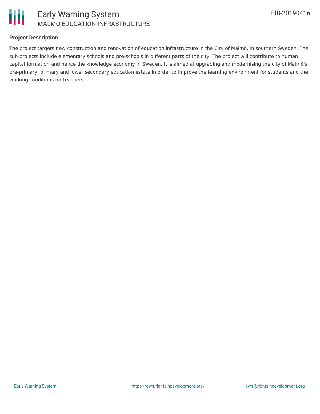

### **Project Description**

The project targets new construction and renovation of education infrastructure in the City of Malmö, in southern Sweden. The sub-projects include elementary schools and pre-schools in different parts of the city. The project will contribute to human capital formation and hence the knowledge economy in Sweden. It is aimed at upgrading and modernising the city of Malmö's pre-primary, primary and lower secondary education estate in order to improve the learning environment for students and the working conditions for teachers.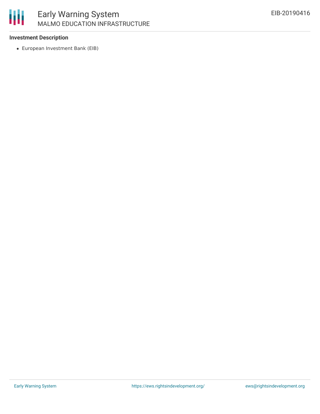

# Early Warning System MALMO EDUCATION INFRASTRUCTURE

### **Investment Description**

European Investment Bank (EIB)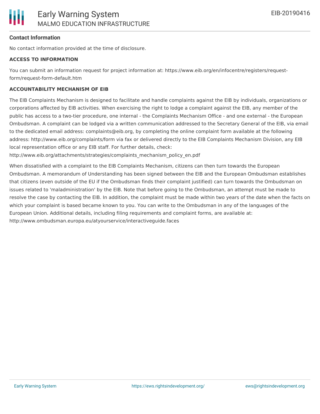

#### **Contact Information**

No contact information provided at the time of disclosure.

#### **ACCESS TO INFORMATION**

You can submit an information request for project information at: https://www.eib.org/en/infocentre/registers/requestform/request-form-default.htm

#### **ACCOUNTABILITY MECHANISM OF EIB**

The EIB Complaints Mechanism is designed to facilitate and handle complaints against the EIB by individuals, organizations or corporations affected by EIB activities. When exercising the right to lodge a complaint against the EIB, any member of the public has access to a two-tier procedure, one internal - the Complaints Mechanism Office - and one external - the European Ombudsman. A complaint can be lodged via a written communication addressed to the Secretary General of the EIB, via email to the dedicated email address: complaints@eib.org, by completing the online complaint form available at the following address: http://www.eib.org/complaints/form via fax or delivered directly to the EIB Complaints Mechanism Division, any EIB local representation office or any EIB staff. For further details, check:

http://www.eib.org/attachments/strategies/complaints\_mechanism\_policy\_en.pdf

When dissatisfied with a complaint to the EIB Complaints Mechanism, citizens can then turn towards the European Ombudsman. A memorandum of Understanding has been signed between the EIB and the European Ombudsman establishes that citizens (even outside of the EU if the Ombudsman finds their complaint justified) can turn towards the Ombudsman on issues related to 'maladministration' by the EIB. Note that before going to the Ombudsman, an attempt must be made to resolve the case by contacting the EIB. In addition, the complaint must be made within two years of the date when the facts on which your complaint is based became known to you. You can write to the Ombudsman in any of the languages of the European Union. Additional details, including filing requirements and complaint forms, are available at: http://www.ombudsman.europa.eu/atyourservice/interactiveguide.faces